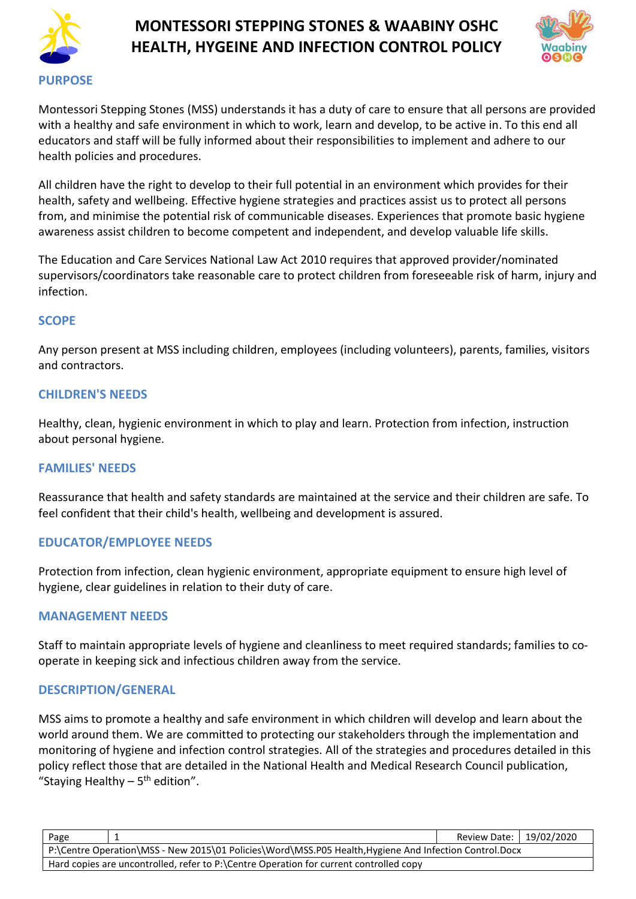



Montessori Stepping Stones (MSS) understands it has a duty of care to ensure that all persons are provided with a healthy and safe environment in which to work, learn and develop, to be active in. To this end all educators and staff will be fully informed about their responsibilities to implement and adhere to our health policies and procedures.

All children have the right to develop to their full potential in an environment which provides for their health, safety and wellbeing. Effective hygiene strategies and practices assist us to protect all persons from, and minimise the potential risk of communicable diseases. Experiences that promote basic hygiene awareness assist children to become competent and independent, and develop valuable life skills.

The Education and Care Services National Law Act 2010 requires that approved provider/nominated supervisors/coordinators take reasonable care to protect children from foreseeable risk of harm, injury and infection.

### **SCOPE**

Any person present at MSS including children, employees (including volunteers), parents, families, visitors and contractors.

### **CHILDREN'S NEEDS**

Healthy, clean, hygienic environment in which to play and learn. Protection from infection, instruction about personal hygiene.

### **FAMILIES' NEEDS**

Reassurance that health and safety standards are maintained at the service and their children are safe. To feel confident that their child's health, wellbeing and development is assured.

### **EDUCATOR/EMPLOYEE NEEDS**

Protection from infection, clean hygienic environment, appropriate equipment to ensure high level of hygiene, clear guidelines in relation to their duty of care.

### **MANAGEMENT NEEDS**

Staff to maintain appropriate levels of hygiene and cleanliness to meet required standards; families to cooperate in keeping sick and infectious children away from the service.

### **DESCRIPTION/GENERAL**

MSS aims to promote a healthy and safe environment in which children will develop and learn about the world around them. We are committed to protecting our stakeholders through the implementation and monitoring of hygiene and infection control strategies. All of the strategies and procedures detailed in this policy reflect those that are detailed in the National Health and Medical Research Council publication, "Staying Healthy - 5<sup>th</sup> edition".

| Page                                                                                                   |  | Review Date:   19/02/2020 |  |  |
|--------------------------------------------------------------------------------------------------------|--|---------------------------|--|--|
| P:\Centre Operation\MSS - New 2015\01 Policies\Word\MSS.P05 Health, Hygiene And Infection Control.Docx |  |                           |  |  |
| Hard copies are uncontrolled, refer to P:\Centre Operation for current controlled copy                 |  |                           |  |  |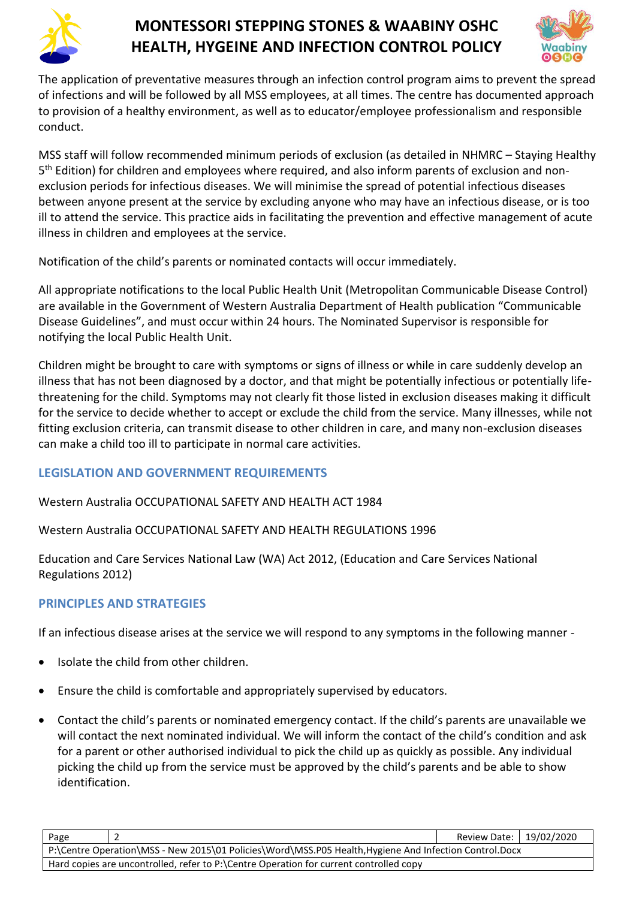



The application of preventative measures through an infection control program aims to prevent the spread of infections and will be followed by all MSS employees, at all times. The centre has documented approach to provision of a healthy environment, as well as to educator/employee professionalism and responsible conduct.

MSS staff will follow recommended minimum periods of exclusion (as detailed in NHMRC – Staying Healthy 5<sup>th</sup> Edition) for children and employees where required, and also inform parents of exclusion and nonexclusion periods for infectious diseases. We will minimise the spread of potential infectious diseases between anyone present at the service by excluding anyone who may have an infectious disease, or is too ill to attend the service. This practice aids in facilitating the prevention and effective management of acute illness in children and employees at the service.

Notification of the child's parents or nominated contacts will occur immediately.

All appropriate notifications to the local Public Health Unit (Metropolitan Communicable Disease Control) are available in the Government of Western Australia Department of Health publication "Communicable Disease Guidelines", and must occur within 24 hours. The Nominated Supervisor is responsible for notifying the local Public Health Unit.

Children might be brought to care with symptoms or signs of illness or while in care suddenly develop an illness that has not been diagnosed by a doctor, and that might be potentially infectious or potentially lifethreatening for the child. Symptoms may not clearly fit those listed in exclusion diseases making it difficult for the service to decide whether to accept or exclude the child from the service. Many illnesses, while not fitting exclusion criteria, can transmit disease to other children in care, and many non-exclusion diseases can make a child too ill to participate in normal care activities.

# **LEGISLATION AND GOVERNMENT REQUIREMENTS**

Western Australia OCCUPATIONAL SAFETY AND HEALTH ACT 1984

Western Australia OCCUPATIONAL SAFETY AND HEALTH REGULATIONS 1996

Education and Care Services National Law (WA) Act 2012, (Education and Care Services National Regulations 2012)

# **PRINCIPLES AND STRATEGIES**

If an infectious disease arises at the service we will respond to any symptoms in the following manner -

- Isolate the child from other children.
- Ensure the child is comfortable and appropriately supervised by educators.
- Contact the child's parents or nominated emergency contact. If the child's parents are unavailable we will contact the next nominated individual. We will inform the contact of the child's condition and ask for a parent or other authorised individual to pick the child up as quickly as possible. Any individual picking the child up from the service must be approved by the child's parents and be able to show identification.

| Page                                                                                                   |  | Review Date:   19/02/2020 |  |  |
|--------------------------------------------------------------------------------------------------------|--|---------------------------|--|--|
| P:\Centre Operation\MSS - New 2015\01 Policies\Word\MSS.P05 Health, Hygiene And Infection Control.Docx |  |                           |  |  |
| Hard copies are uncontrolled, refer to P:\Centre Operation for current controlled copy                 |  |                           |  |  |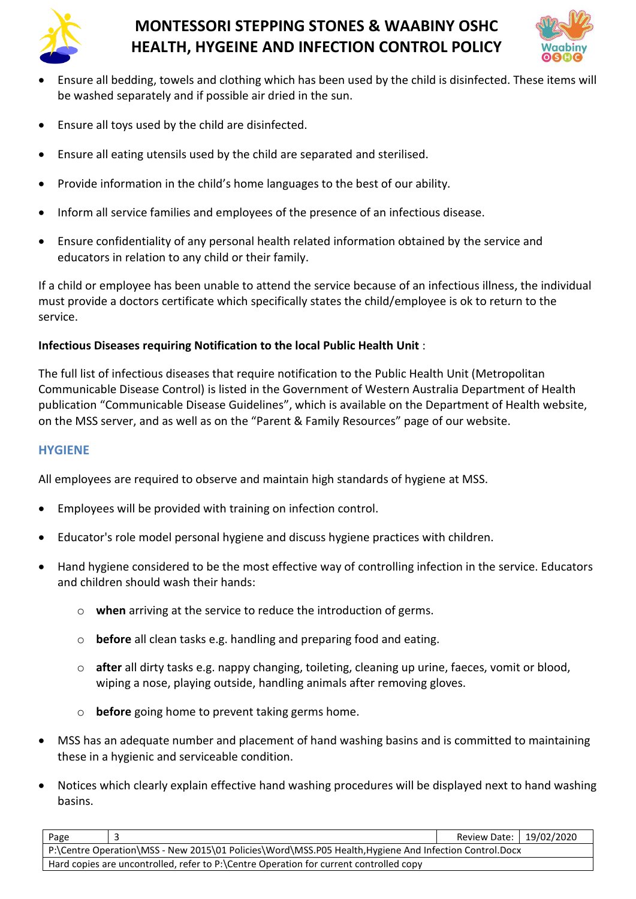



- Ensure all bedding, towels and clothing which has been used by the child is disinfected. These items will be washed separately and if possible air dried in the sun.
- Ensure all toys used by the child are disinfected.
- Ensure all eating utensils used by the child are separated and sterilised.
- Provide information in the child's home languages to the best of our ability.
- Inform all service families and employees of the presence of an infectious disease.
- Ensure confidentiality of any personal health related information obtained by the service and educators in relation to any child or their family.

If a child or employee has been unable to attend the service because of an infectious illness, the individual must provide a doctors certificate which specifically states the child/employee is ok to return to the service.

### **Infectious Diseases requiring Notification to the local Public Health Unit** :

The full list of infectious diseases that require notification to the Public Health Unit (Metropolitan Communicable Disease Control) is listed in the Government of Western Australia Department of Health publication "Communicable Disease Guidelines", which is available on the Department of Health website, on the MSS server, and as well as on the "Parent & Family Resources" page of our website.

#### **HYGIENE**

All employees are required to observe and maintain high standards of hygiene at MSS.

- Employees will be provided with training on infection control.
- Educator's role model personal hygiene and discuss hygiene practices with children.
- Hand hygiene considered to be the most effective way of controlling infection in the service. Educators and children should wash their hands:
	- o **when** arriving at the service to reduce the introduction of germs.
	- o **before** all clean tasks e.g. handling and preparing food and eating.
	- o **after** all dirty tasks e.g. nappy changing, toileting, cleaning up urine, faeces, vomit or blood, wiping a nose, playing outside, handling animals after removing gloves.
	- o **before** going home to prevent taking germs home.
- MSS has an adequate number and placement of hand washing basins and is committed to maintaining these in a hygienic and serviceable condition.
- Notices which clearly explain effective hand washing procedures will be displayed next to hand washing basins.

| Page                                                                                                   |  | Review Date:   19/02/2020 |  |  |
|--------------------------------------------------------------------------------------------------------|--|---------------------------|--|--|
| P:\Centre Operation\MSS - New 2015\01 Policies\Word\MSS.P05 Health, Hygiene And Infection Control.Docx |  |                           |  |  |
| Hard copies are uncontrolled, refer to P:\Centre Operation for current controlled copy                 |  |                           |  |  |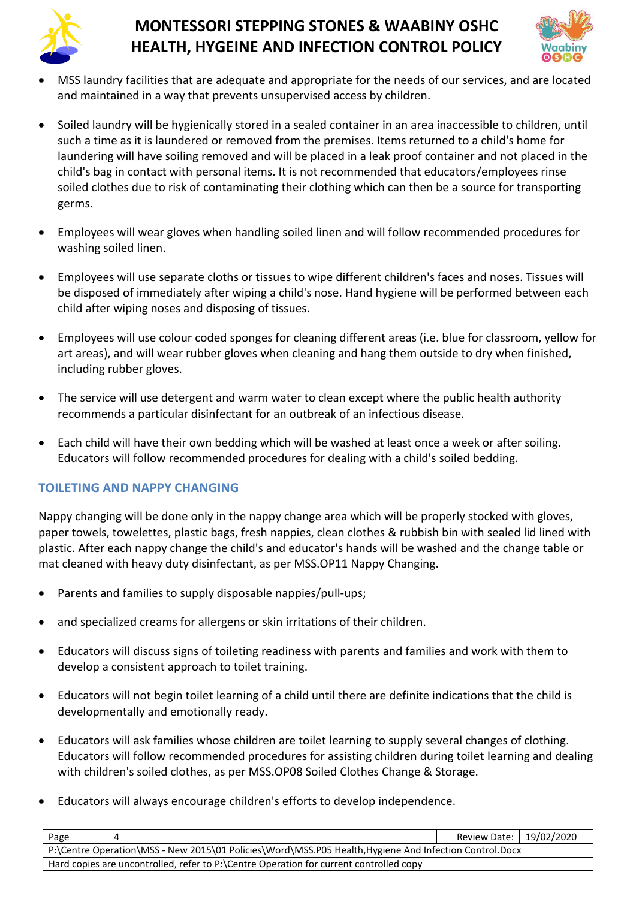



- MSS laundry facilities that are adequate and appropriate for the needs of our services, and are located and maintained in a way that prevents unsupervised access by children.
- Soiled laundry will be hygienically stored in a sealed container in an area inaccessible to children, until such a time as it is laundered or removed from the premises. Items returned to a child's home for laundering will have soiling removed and will be placed in a leak proof container and not placed in the child's bag in contact with personal items. It is not recommended that educators/employees rinse soiled clothes due to risk of contaminating their clothing which can then be a source for transporting germs.
- Employees will wear gloves when handling soiled linen and will follow recommended procedures for washing soiled linen.
- Employees will use separate cloths or tissues to wipe different children's faces and noses. Tissues will be disposed of immediately after wiping a child's nose. Hand hygiene will be performed between each child after wiping noses and disposing of tissues.
- Employees will use colour coded sponges for cleaning different areas (i.e. blue for classroom, yellow for art areas), and will wear rubber gloves when cleaning and hang them outside to dry when finished, including rubber gloves.
- The service will use detergent and warm water to clean except where the public health authority recommends a particular disinfectant for an outbreak of an infectious disease.
- Each child will have their own bedding which will be washed at least once a week or after soiling. Educators will follow recommended procedures for dealing with a child's soiled bedding.

# **TOILETING AND NAPPY CHANGING**

Nappy changing will be done only in the nappy change area which will be properly stocked with gloves, paper towels, towelettes, plastic bags, fresh nappies, clean clothes & rubbish bin with sealed lid lined with plastic. After each nappy change the child's and educator's hands will be washed and the change table or mat cleaned with heavy duty disinfectant, as per MSS.OP11 Nappy Changing.

- Parents and families to supply disposable nappies/pull-ups;
- and specialized creams for allergens or skin irritations of their children.
- Educators will discuss signs of toileting readiness with parents and families and work with them to develop a consistent approach to toilet training.
- Educators will not begin toilet learning of a child until there are definite indications that the child is developmentally and emotionally ready.
- Educators will ask families whose children are toilet learning to supply several changes of clothing. Educators will follow recommended procedures for assisting children during toilet learning and dealing with children's soiled clothes, as per MSS.OP08 Soiled Clothes Change & Storage.
- Educators will always encourage children's efforts to develop independence.

| Page                                                                                                   |  | Review Date:   19/02/2020 |  |  |
|--------------------------------------------------------------------------------------------------------|--|---------------------------|--|--|
| P:\Centre Operation\MSS - New 2015\01 Policies\Word\MSS.P05 Health, Hygiene And Infection Control.Docx |  |                           |  |  |
| Hard copies are uncontrolled, refer to P:\Centre Operation for current controlled copy                 |  |                           |  |  |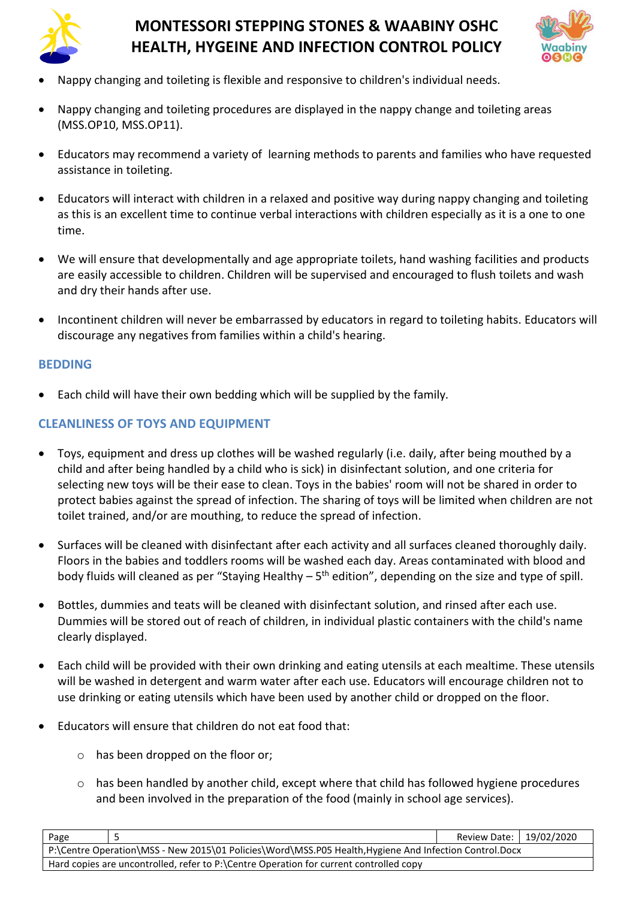



- Nappy changing and toileting is flexible and responsive to children's individual needs.
- Nappy changing and toileting procedures are displayed in the nappy change and toileting areas (MSS.OP10, MSS.OP11).
- Educators may recommend a variety of learning methods to parents and families who have requested assistance in toileting.
- Educators will interact with children in a relaxed and positive way during nappy changing and toileting as this is an excellent time to continue verbal interactions with children especially as it is a one to one time.
- We will ensure that developmentally and age appropriate toilets, hand washing facilities and products are easily accessible to children. Children will be supervised and encouraged to flush toilets and wash and dry their hands after use.
- Incontinent children will never be embarrassed by educators in regard to toileting habits. Educators will discourage any negatives from families within a child's hearing.

#### **BEDDING**

• Each child will have their own bedding which will be supplied by the family.

### **CLEANLINESS OF TOYS AND EQUIPMENT**

- Toys, equipment and dress up clothes will be washed regularly (i.e. daily, after being mouthed by a child and after being handled by a child who is sick) in disinfectant solution, and one criteria for selecting new toys will be their ease to clean. Toys in the babies' room will not be shared in order to protect babies against the spread of infection. The sharing of toys will be limited when children are not toilet trained, and/or are mouthing, to reduce the spread of infection.
- Surfaces will be cleaned with disinfectant after each activity and all surfaces cleaned thoroughly daily. Floors in the babies and toddlers rooms will be washed each day. Areas contaminated with blood and body fluids will cleaned as per "Staying Healthy – 5<sup>th</sup> edition", depending on the size and type of spill.
- Bottles, dummies and teats will be cleaned with disinfectant solution, and rinsed after each use. Dummies will be stored out of reach of children, in individual plastic containers with the child's name clearly displayed.
- Each child will be provided with their own drinking and eating utensils at each mealtime. These utensils will be washed in detergent and warm water after each use. Educators will encourage children not to use drinking or eating utensils which have been used by another child or dropped on the floor.
- Educators will ensure that children do not eat food that:
	- o has been dropped on the floor or;
	- o has been handled by another child, except where that child has followed hygiene procedures and been involved in the preparation of the food (mainly in school age services).

| Page                                                                                                   |  | Review Date:   19/02/2020 |  |
|--------------------------------------------------------------------------------------------------------|--|---------------------------|--|
| P:\Centre Operation\MSS - New 2015\01 Policies\Word\MSS.P05 Health, Hygiene And Infection Control.Docx |  |                           |  |
| Hard copies are uncontrolled, refer to P:\Centre Operation for current controlled copy                 |  |                           |  |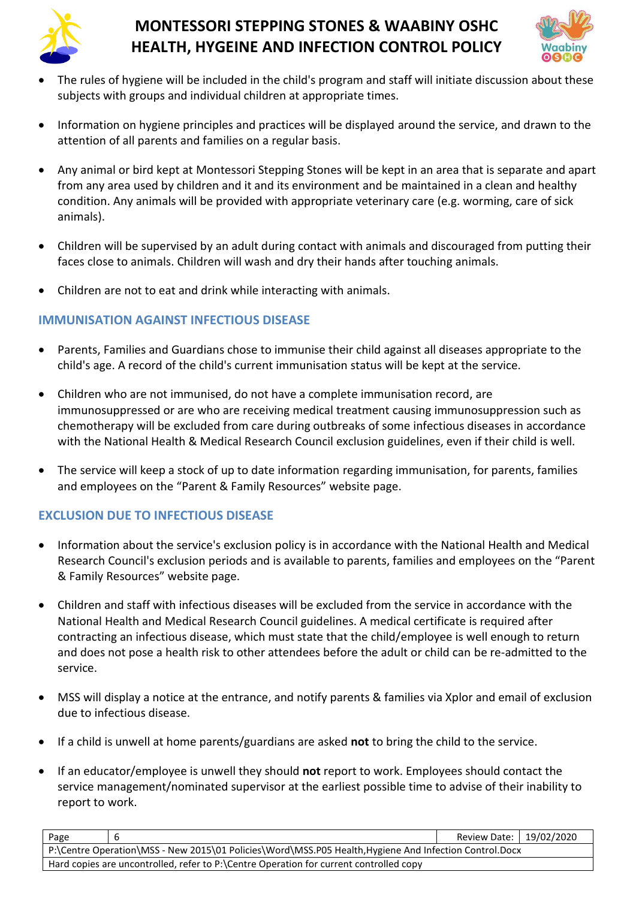



- The rules of hygiene will be included in the child's program and staff will initiate discussion about these subjects with groups and individual children at appropriate times.
- Information on hygiene principles and practices will be displayed around the service, and drawn to the attention of all parents and families on a regular basis.
- Any animal or bird kept at Montessori Stepping Stones will be kept in an area that is separate and apart from any area used by children and it and its environment and be maintained in a clean and healthy condition. Any animals will be provided with appropriate veterinary care (e.g. worming, care of sick animals).
- Children will be supervised by an adult during contact with animals and discouraged from putting their faces close to animals. Children will wash and dry their hands after touching animals.
- Children are not to eat and drink while interacting with animals.

# **IMMUNISATION AGAINST INFECTIOUS DISEASE**

- Parents, Families and Guardians chose to immunise their child against all diseases appropriate to the child's age. A record of the child's current immunisation status will be kept at the service.
- Children who are not immunised, do not have a complete immunisation record, are immunosuppressed or are who are receiving medical treatment causing immunosuppression such as chemotherapy will be excluded from care during outbreaks of some infectious diseases in accordance with the National Health & Medical Research Council exclusion guidelines, even if their child is well.
- The service will keep a stock of up to date information regarding immunisation, for parents, families and employees on the "Parent & Family Resources" website page.

# **EXCLUSION DUE TO INFECTIOUS DISEASE**

- Information about the service's exclusion policy is in accordance with the National Health and Medical Research Council's exclusion periods and is available to parents, families and employees on the "Parent & Family Resources" website page.
- Children and staff with infectious diseases will be excluded from the service in accordance with the National Health and Medical Research Council guidelines. A medical certificate is required after contracting an infectious disease, which must state that the child/employee is well enough to return and does not pose a health risk to other attendees before the adult or child can be re-admitted to the service.
- MSS will display a notice at the entrance, and notify parents & families via Xplor and email of exclusion due to infectious disease.
- If a child is unwell at home parents/guardians are asked **not** to bring the child to the service.
- If an educator/employee is unwell they should **not** report to work. Employees should contact the service management/nominated supervisor at the earliest possible time to advise of their inability to report to work.

| Page                                                                                                   |  | Review Date:   19/02/2020 |  |  |
|--------------------------------------------------------------------------------------------------------|--|---------------------------|--|--|
| P:\Centre Operation\MSS - New 2015\01 Policies\Word\MSS.P05 Health, Hygiene And Infection Control.Docx |  |                           |  |  |
| Hard copies are uncontrolled, refer to P:\Centre Operation for current controlled copy                 |  |                           |  |  |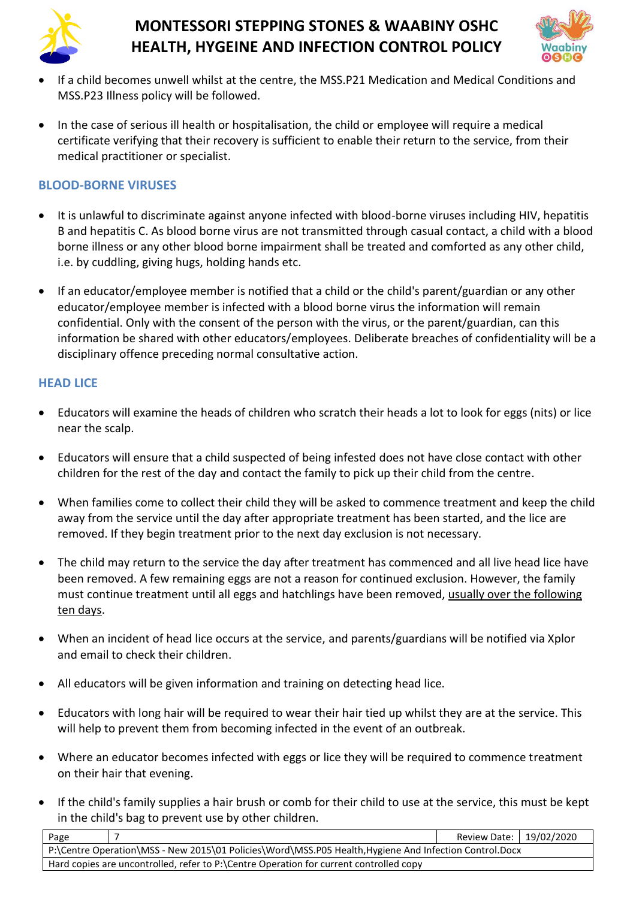



- If a child becomes unwell whilst at the centre, the MSS.P21 Medication and Medical Conditions and MSS.P23 Illness policy will be followed.
- In the case of serious ill health or hospitalisation, the child or employee will require a medical certificate verifying that their recovery is sufficient to enable their return to the service, from their medical practitioner or specialist.

# **BLOOD-BORNE VIRUSES**

- It is unlawful to discriminate against anyone infected with blood-borne viruses including HIV, hepatitis B and hepatitis C. As blood borne virus are not transmitted through casual contact, a child with a blood borne illness or any other blood borne impairment shall be treated and comforted as any other child, i.e. by cuddling, giving hugs, holding hands etc.
- If an educator/employee member is notified that a child or the child's parent/guardian or any other educator/employee member is infected with a blood borne virus the information will remain confidential. Only with the consent of the person with the virus, or the parent/guardian, can this information be shared with other educators/employees. Deliberate breaches of confidentiality will be a disciplinary offence preceding normal consultative action.

# **HEAD LICE**

- Educators will examine the heads of children who scratch their heads a lot to look for eggs (nits) or lice near the scalp.
- Educators will ensure that a child suspected of being infested does not have close contact with other children for the rest of the day and contact the family to pick up their child from the centre.
- When families come to collect their child they will be asked to commence treatment and keep the child away from the service until the day after appropriate treatment has been started, and the lice are removed. If they begin treatment prior to the next day exclusion is not necessary.
- The child may return to the service the day after treatment has commenced and all live head lice have been removed. A few remaining eggs are not a reason for continued exclusion. However, the family must continue treatment until all eggs and hatchlings have been removed, usually over the following ten days.
- When an incident of head lice occurs at the service, and parents/guardians will be notified via Xplor and email to check their children.
- All educators will be given information and training on detecting head lice.
- Educators with long hair will be required to wear their hair tied up whilst they are at the service. This will help to prevent them from becoming infected in the event of an outbreak.
- Where an educator becomes infected with eggs or lice they will be required to commence treatment on their hair that evening.
- If the child's family supplies a hair brush or comb for their child to use at the service, this must be kept in the child's bag to prevent use by other children.

| Page                                                                                                   |  | Review Date:   19/02/2020 |  |  |
|--------------------------------------------------------------------------------------------------------|--|---------------------------|--|--|
| P:\Centre Operation\MSS - New 2015\01 Policies\Word\MSS.P05 Health, Hygiene And Infection Control.Docx |  |                           |  |  |
| Hard copies are uncontrolled, refer to P:\Centre Operation for current controlled copy                 |  |                           |  |  |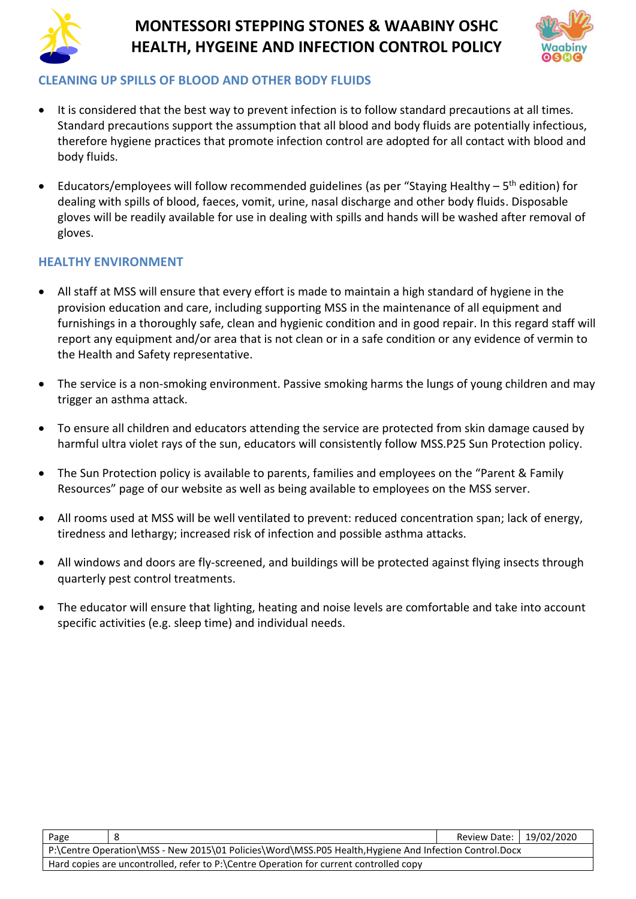



### **CLEANING UP SPILLS OF BLOOD AND OTHER BODY FLUIDS**

- It is considered that the best way to prevent infection is to follow standard precautions at all times. Standard precautions support the assumption that all blood and body fluids are potentially infectious, therefore hygiene practices that promote infection control are adopted for all contact with blood and body fluids.
- Educators/employees will follow recommended guidelines (as per "Staying Healthy 5<sup>th</sup> edition) for dealing with spills of blood, faeces, vomit, urine, nasal discharge and other body fluids. Disposable gloves will be readily available for use in dealing with spills and hands will be washed after removal of gloves.

### **HEALTHY ENVIRONMENT**

- All staff at MSS will ensure that every effort is made to maintain a high standard of hygiene in the provision education and care, including supporting MSS in the maintenance of all equipment and furnishings in a thoroughly safe, clean and hygienic condition and in good repair. In this regard staff will report any equipment and/or area that is not clean or in a safe condition or any evidence of vermin to the Health and Safety representative.
- The service is a non-smoking environment. Passive smoking harms the lungs of young children and may trigger an asthma attack.
- To ensure all children and educators attending the service are protected from skin damage caused by harmful ultra violet rays of the sun, educators will consistently follow MSS.P25 Sun Protection policy.
- The Sun Protection policy is available to parents, families and employees on the "Parent & Family Resources" page of our website as well as being available to employees on the MSS server.
- All rooms used at MSS will be well ventilated to prevent: reduced concentration span; lack of energy, tiredness and lethargy; increased risk of infection and possible asthma attacks.
- All windows and doors are fly-screened, and buildings will be protected against flying insects through quarterly pest control treatments.
- The educator will ensure that lighting, heating and noise levels are comfortable and take into account specific activities (e.g. sleep time) and individual needs.

| Page                                                                                                   |  | Review Date: 19/02/2020 |  |
|--------------------------------------------------------------------------------------------------------|--|-------------------------|--|
| P:\Centre Operation\MSS - New 2015\01 Policies\Word\MSS.P05 Health, Hygiene And Infection Control.Docx |  |                         |  |
| Hard copies are uncontrolled, refer to P:\Centre Operation for current controlled copy                 |  |                         |  |